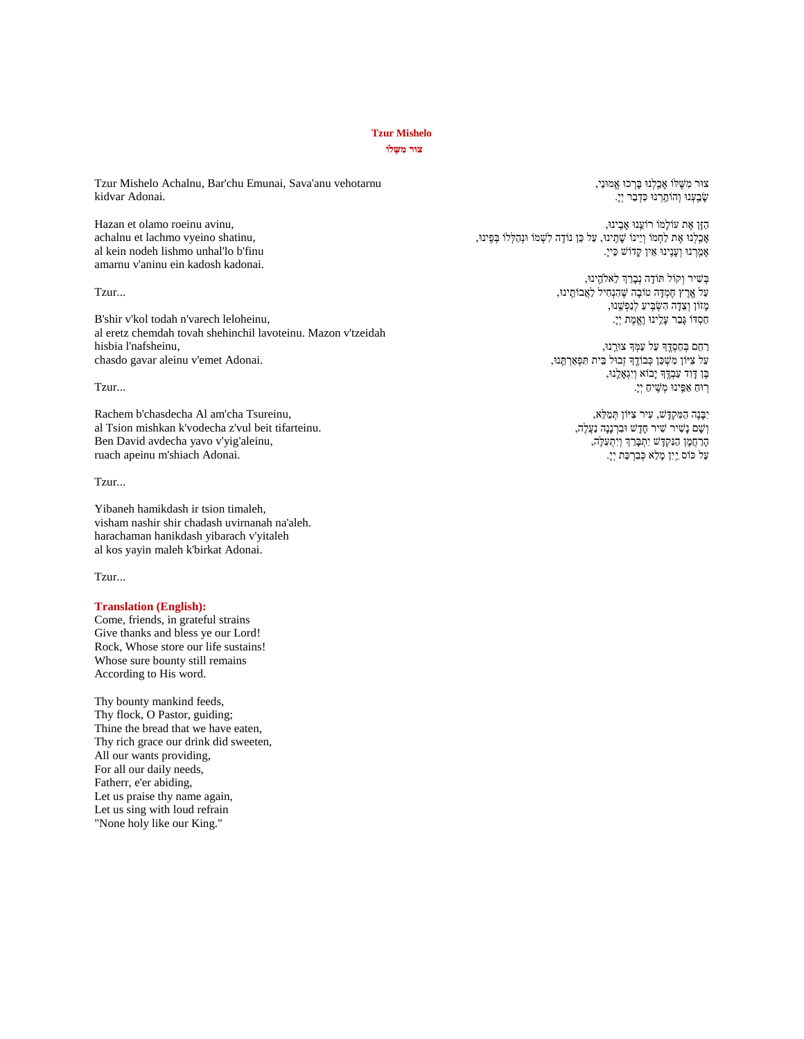# **Tzur Mishelo**

#### **צּור מִ שֶּ לֹו**

Tzur Mishelo Achalnu, Bar'chu Emunai, Sava'anu vehotarnu kidvar Adonai.

Hazan et olamo roeinu avinu, achalnu et lachmo vyeino shatinu, al kein nodeh lishmo unhal'lo b'finu amarnu v'aninu ein kadosh kadonai.

#### Tzur...

B'shir v'kol todah n'varech leloheinu, al eretz chemdah tovah shehinchil lavoteinu. Mazon v'tzeidah hisbia l'nafsheinu, chasdo gavar aleinu v'emet Adonai.

# Tzur...

Rachem b'chasdecha Al am'cha Tsureinu, al Tsion mishkan k'vodecha z'vul beit tifarteinu. Ben David avdecha yavo v'yig'aleinu, ruach apeinu m'shiach Adonai.

## Tzur...

Yibaneh hamikdash ir tsion timaleh, visham nashir shir chadash uvirnanah na'aleh. harachaman hanikdash yibarach v'yitaleh al kos yayin maleh k'birkat Adonai.

#### Tzur...

### **Translation (English):**

Come, friends, in grateful strains Give thanks and bless ye our Lord! Rock, Whose store our life sustains! Whose sure bounty still remains According to His word.

Thy bounty mankind feeds, Thy flock, O Pastor, guiding; Thine the bread that we have eaten, Thy rich grace our drink did sweeten, All our wants providing, For all our daily needs, Fatherr, e'er abiding, Let us praise thy name again, Let us sing with loud refrain "None holy like our King."

צּור מִ שֶּׁ ּלֹו אָ כַַֽלְנּו בָרְ כּו אֱמּונַי, שַׁבֵעָנוּ וְהוֹתֵרְנוּ כִּדְבָר יְיָ.

הַזָן אֶּׁ ת עֹולָמֹו רֹוע ַֽ נּו אָ בִַֽ ינּו, , אָכַלְנוּ אֶת לַחְמֹו וְיֵינוֹ שֶׁתְִינוּ, עַל כֵּן נוֹדֶה לִשְׁמֹו וּנְהַלְלוֹ בְּפִינוּ אָ מַַֽ רְ נּו וְ עָנִַֽ ינּו א ין קָדֹוש כַיי.ָ

> בְ שִ יר וְ קֹול ּתֹודָ ה נְבָר ְך ל אֹלה ַֽ ינּו, עַל אֶַּֽׁ רֶּׁ ץ חֶּׁמְ דָ ה טֹובָה שֶּׁ הִ נְחִ יל לַאֲבֹות ַֽ ינּו, מָ זֹון וְ צ דָ ה הִ שְ בִַֽ יעַ לְנַפְ ש ַֽ נּו, חַסְ דֹו גָבַר עָל ַֽ ינּו וֶּׁאֱמֶּׁ ת יְי.ָ

רַחֵם בְּחַסְדֶּךְ עַל עַמְּךְ צוּרֵנוּ, עַל צִיּוֹן מִשְׁכַּן כְּבוֹדֶךְ זְבוּל בֵּית תִּפְאַרְתֲנוּ, בֶּׁ ן דָ וִ ד עַבְ דֶַּֽׁ ָך יָבֹוא וְ יִגְ אָ ל ַֽ נּו, ּרֵֽוּחַ אַפֵּינוּ מְשֵׁיחַ יְיָ.

> יִבָנֶּׁה הַ מִ קְ דָ ש, עִ יר צִ ּיֹון ּתְ מַ ּל א, וְ נָשֵׁיר שִׁיר חָדָשׁ וּבִרְנָנָה נַעֲלֶה, הָרַ חֲמָ ן הַנִקְ דָ ש יִתְ בָרַ ְך וְ יִתְ עַּלֶּׁה, עַל כּוֹס יַיִן מָלֵא כְּבִרְכַּת יְיָ.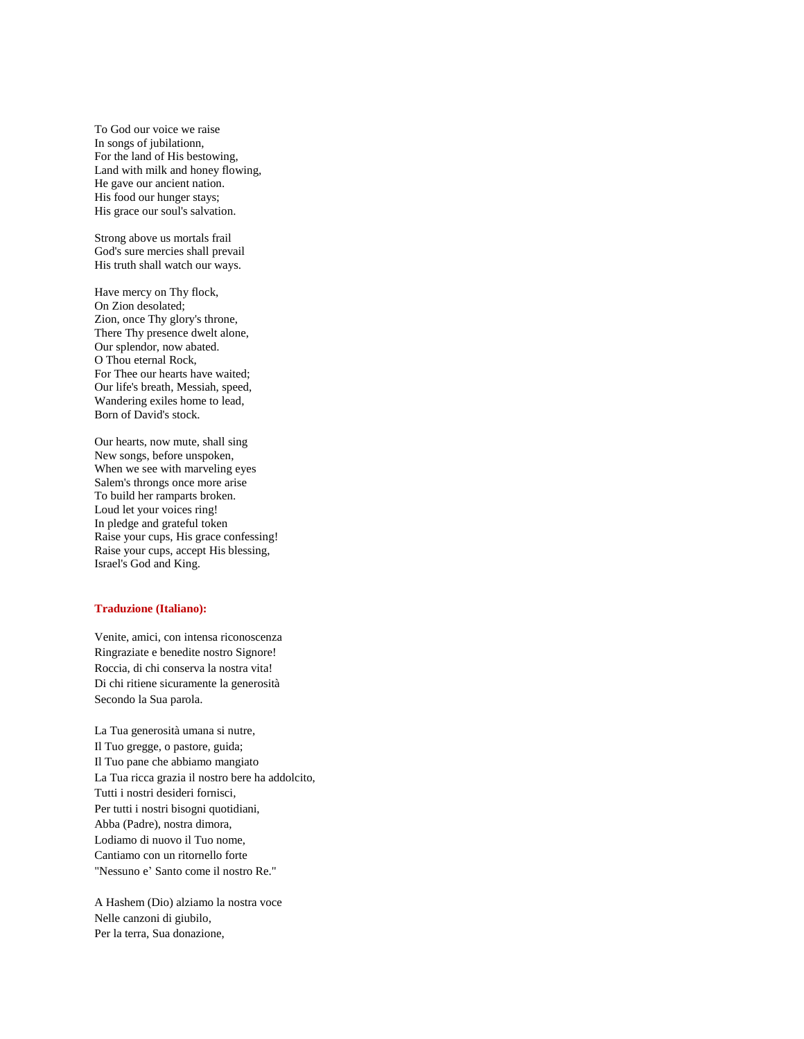To God our voice we raise In songs of jubilationn, For the land of His bestowing, Land with milk and honey flowing, He gave our ancient nation. His food our hunger stays; His grace our soul's salvation.

Strong above us mortals frail God's sure mercies shall prevail His truth shall watch our ways.

Have mercy on Thy flock, On Zion desolated; Zion, once Thy glory's throne, There Thy presence dwelt alone, Our splendor, now abated. O Thou eternal Rock, For Thee our hearts have waited; Our life's breath, Messiah, speed, Wandering exiles home to lead, Born of David's stock.

Our hearts, now mute, shall sing New songs, before unspoken, When we see with marveling eyes Salem's throngs once more arise To build her ramparts broken. Loud let your voices ring! In pledge and grateful token Raise your cups, His grace confessing! Raise your cups, accept His blessing, Israel's God and King.

## **Traduzione (Italiano):**

Venite, amici, con intensa riconoscenza Ringraziate e benedite nostro Signore! Roccia, di chi conserva la nostra vita! Di chi ritiene sicuramente la generosità Secondo la Sua parola.

La Tua generosità umana si nutre, Il Tuo gregge, o pastore, guida; Il Tuo pane che abbiamo mangiato La Tua ricca grazia il nostro bere ha addolcito, Tutti i nostri desideri fornisci, Per tutti i nostri bisogni quotidiani, Abba (Padre), nostra dimora, Lodiamo di nuovo il Tuo nome, Cantiamo con un ritornello forte "Nessuno e' Santo come il nostro Re."

A Hashem (Dio) alziamo la nostra voce Nelle canzoni di giubilo, Per la terra, Sua donazione,